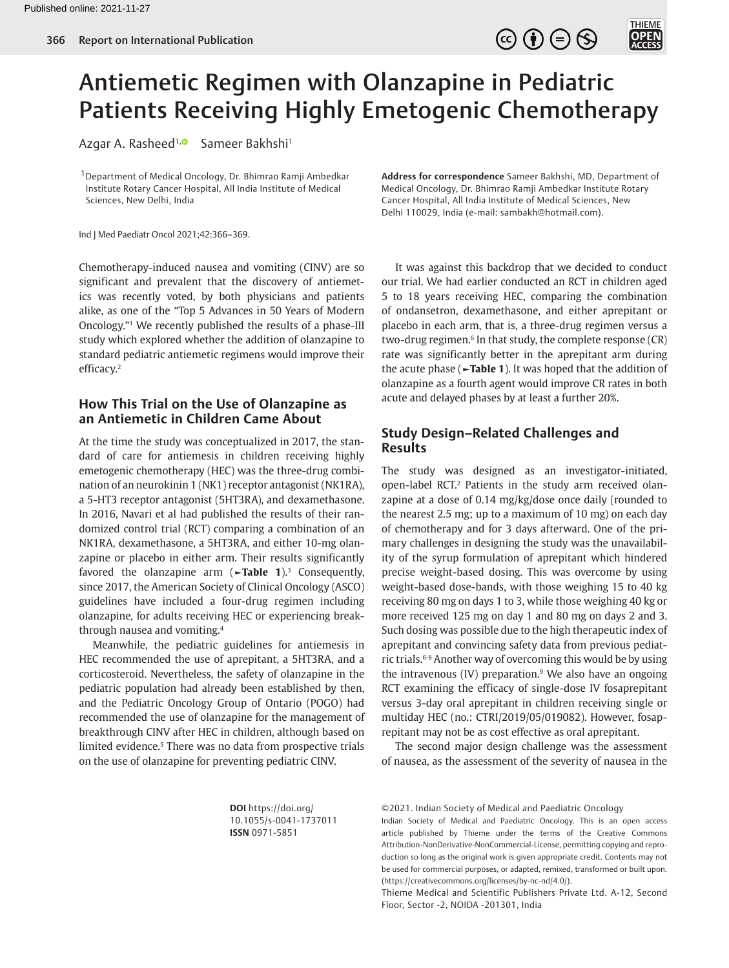

THIEME<br>**OPEN**<br>ACCESS



Azgar A. Rasheed<sup>1, @</sup> Sameer Bakhshi<sup>1</sup>

1Department of Medical Oncology, Dr. Bhimrao Ramji Ambedkar Institute Rotary Cancer Hospital, All India Institute of Medical Sciences, New Delhi, India

Ind J Med Paediatr Oncol 2021;42:366–369.

<span id="page-0-0"></span>Chemotherapy-induced nausea and vomiting (CINV) are so significant and prevalent that the discovery of antiemetics was recently voted, by both physicians and patients alike, as one of the "Top 5 Advances in 50 Years of Modern Oncology."[1](#page-2-0) We recently published the results of a phase-III study which explored whether the addition of olanzapine to standard pediatric antiemetic regimens would improve their efficacy[.2](#page-2-1)

#### <span id="page-0-1"></span>**How This Trial on the Use of Olanzapine as an Antiemetic in Children Came About**

At the time the study was conceptualized in 2017, the standard of care for antiemesis in children receiving highly emetogenic chemotherapy (HEC) was the three-drug combination of an neurokinin 1 (NK1) receptor antagonist (NK1RA), a 5-HT3 receptor antagonist (5HT3RA), and dexamethasone. In 2016, Navari et al had published the results of their randomized control trial (RCT) comparing a combination of an NK1RA, dexamethasone, a 5HT3RA, and either 10-mg olanzapine or placebo in either arm. Their results significantly favored the olanzapine arm (**[►Table 1](#page-1-0)**)[.3](#page-2-2) Consequently, since 2017, the American Society of Clinical Oncology (ASCO) guidelines have included a four-drug regimen including olanzapine, for adults receiving HEC or experiencing breakthrough nausea and vomiting.[4](#page-2-3)

<span id="page-0-4"></span><span id="page-0-3"></span>Meanwhile, the pediatric guidelines for antiemesis in HEC recommended the use of aprepitant, a 5HT3RA, and a corticosteroid. Nevertheless, the safety of olanzapine in the pediatric population had already been established by then, and the Pediatric Oncology Group of Ontario (POGO) had recommended the use of olanzapine for the management of breakthrough CINV after HEC in children, although based on limited evidence.<sup>5</sup> There was no data from prospective trials on the use of olanzapine for preventing pediatric CINV.

**Address for correspondence** Sameer Bakhshi, MD, Department of Medical Oncology, Dr. Bhimrao Ramji Ambedkar Institute Rotary Cancer Hospital, All India Institute of Medical Sciences, New Delhi 110029, India (e-mail: sambakh@hotmail.com).

<span id="page-0-5"></span>It was against this backdrop that we decided to conduct our trial. We had earlier conducted an RCT in children aged 5 to 18 years receiving HEC, comparing the combination of ondansetron, dexamethasone, and either aprepitant or placebo in each arm, that is, a three-drug regimen versus a two-drug regimen. $6$  In that study, the complete response  $(CR)$ rate was significantly better in the aprepitant arm during the acute phase (**[►Table 1](#page-1-0)**). It was hoped that the addition of olanzapine as a fourth agent would improve CR rates in both acute and delayed phases by at least a further 20%.

# **Study Design–Related Challenges and Results**

<span id="page-0-2"></span>The study was designed as an investigator-initiated, open-label RCT.<sup>[2](#page-2-1)</sup> Patients in the study arm received olanzapine at a dose of 0.14 mg/kg/dose once daily (rounded to the nearest 2.5 mg; up to a maximum of 10 mg) on each day of chemotherapy and for 3 days afterward. One of the primary challenges in designing the study was the unavailability of the syrup formulation of aprepitant which hindered precise weight-based dosing. This was overcome by using weight-based dose-bands, with those weighing 15 to 40 kg receiving 80 mg on days 1 to 3, while those weighing 40 kg or more received 125 mg on day 1 and 80 mg on days 2 and 3. Such dosing was possible due to the high therapeutic index of aprepitant and convincing safety data from previous pediat-ric trials.<sup>6-[8](#page-3-1)</sup> Another way of overcoming this would be by using the intravenous (IV) preparation.<sup>[9](#page-3-2)</sup> We also have an ongoing RCT examining the efficacy of single-dose IV fosaprepitant versus 3-day oral aprepitant in children receiving single or multiday HEC (no.: CTRI/2019/05/019082). However, fosaprepitant may not be as cost effective as oral aprepitant.

<span id="page-0-7"></span><span id="page-0-6"></span>The second major design challenge was the assessment of nausea, as the assessment of the severity of nausea in the

**DOI** https://doi.org/ 10.1055/s-0041-1737011 **ISSN** 0971-5851

<sup>©2021.</sup> Indian Society of Medical and Paediatric Oncology

Indian Society of Medical and Paediatric Oncology. This is an open access article published by Thieme under the terms of the Creative Commons Attribution-NonDerivative-NonCommercial-License, permitting copying and reproduction so long as the original work is given appropriate credit. Contents may not be used for commercial purposes, or adapted, remixed, transformed or built upon. (https://creativecommons.org/licenses/by-nc-nd/4.0/).

Thieme Medical and Scientific Publishers Private Ltd. A-12, Second Floor, Sector -2, NOIDA -201301, India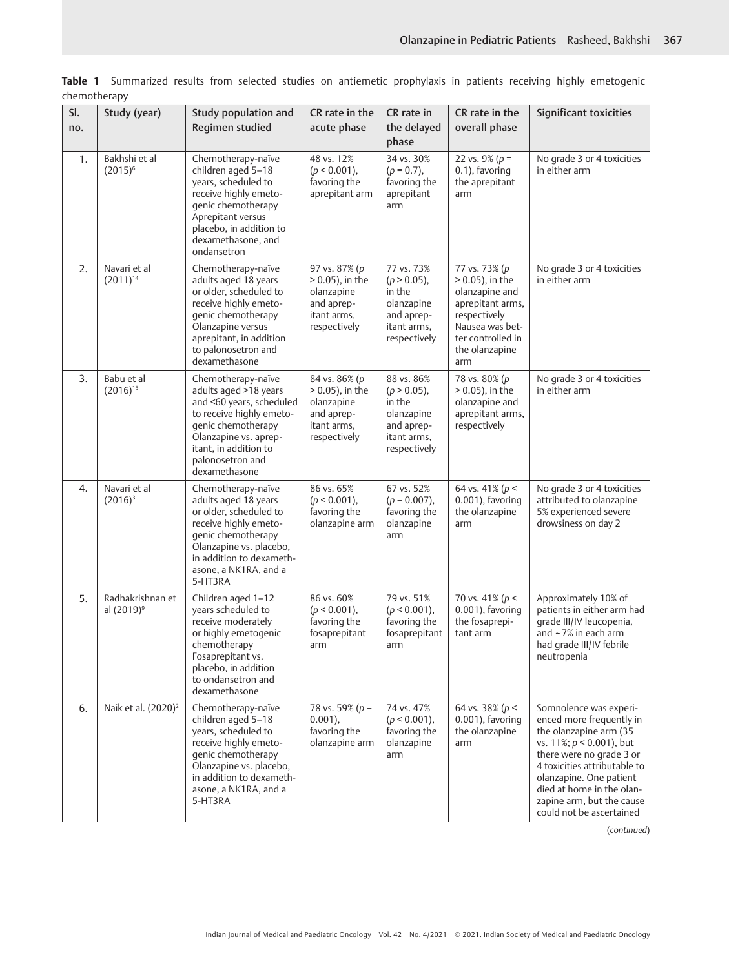<span id="page-1-1"></span>

| <u>CHENIOLICIADY</u> |                                            |                                                                                                                                                                                                                  |                                                                                                |                                                                                                   |                                                                                                                                                            |                                                                                                                                                                                                                                                                                          |
|----------------------|--------------------------------------------|------------------------------------------------------------------------------------------------------------------------------------------------------------------------------------------------------------------|------------------------------------------------------------------------------------------------|---------------------------------------------------------------------------------------------------|------------------------------------------------------------------------------------------------------------------------------------------------------------|------------------------------------------------------------------------------------------------------------------------------------------------------------------------------------------------------------------------------------------------------------------------------------------|
| SI.<br>no.           | Study (year)                               | Study population and<br>Regimen studied                                                                                                                                                                          | CR rate in the<br>acute phase                                                                  | CR rate in<br>the delayed<br>phase                                                                | CR rate in the<br>overall phase                                                                                                                            | <b>Significant toxicities</b>                                                                                                                                                                                                                                                            |
| 1.                   | Bakhshi et al<br>$(2015)^6$                | Chemotherapy-naïve<br>children aged 5-18<br>years, scheduled to<br>receive highly emeto-<br>genic chemotherapy<br>Aprepitant versus<br>placebo, in addition to<br>dexamethasone, and<br>ondansetron              | 48 vs. 12%<br>$(p < 0.001)$ ,<br>favoring the<br>aprepitant arm                                | 34 vs. 30%<br>$(p = 0.7)$ ,<br>favoring the<br>aprepitant<br>arm                                  | 22 vs. 9% ( $p =$<br>0.1), favoring<br>the aprepitant<br>arm                                                                                               | No grade 3 or 4 toxicities<br>in either arm                                                                                                                                                                                                                                              |
| 2.                   | Navari et al<br>$(2011)^{14}$              | Chemotherapy-naïve<br>adults aged 18 years<br>or older, scheduled to<br>receive highly emeto-<br>genic chemotherapy<br>Olanzapine versus<br>aprepitant, in addition<br>to palonosetron and<br>dexamethasone      | 97 vs. 87% (p<br>$> 0.05$ ), in the<br>olanzapine<br>and aprep-<br>itant arms,<br>respectively | 77 vs. 73%<br>$(p > 0.05)$ ,<br>in the<br>olanzapine<br>and aprep-<br>itant arms,<br>respectively | 77 vs. 73% (p<br>$> 0.05$ ), in the<br>olanzapine and<br>aprepitant arms,<br>respectively<br>Nausea was bet-<br>ter controlled in<br>the olanzapine<br>arm | No grade 3 or 4 toxicities<br>in either arm                                                                                                                                                                                                                                              |
| 3.                   | Babu et al<br>$(2016)^{15}$                | Chemotherapy-naïve<br>adults aged >18 years<br>and <60 years, scheduled<br>to receive highly emeto-<br>genic chemotherapy<br>Olanzapine vs. aprep-<br>itant, in addition to<br>palonosetron and<br>dexamethasone | 84 vs. 86% (p<br>$> 0.05$ ), in the<br>olanzapine<br>and aprep-<br>itant arms,<br>respectively | 88 vs. 86%<br>$(p > 0.05)$ ,<br>in the<br>olanzapine<br>and aprep-<br>itant arms,<br>respectively | 78 vs. 80% (p<br>$> 0.05$ ), in the<br>olanzapine and<br>aprepitant arms,<br>respectively                                                                  | No grade 3 or 4 toxicities<br>in either arm                                                                                                                                                                                                                                              |
| 4.                   | Navari et al<br>$(2016)^3$                 | Chemotherapy-naïve<br>adults aged 18 years<br>or older, scheduled to<br>receive highly emeto-<br>genic chemotherapy<br>Olanzapine vs. placebo,<br>in addition to dexameth-<br>asone, a NK1RA, and a<br>5-HT3RA   | 86 vs. 65%<br>$(p < 0.001)$ ,<br>favoring the<br>olanzapine arm                                | 67 vs. 52%<br>$(p = 0.007),$<br>favoring the<br>olanzapine<br>arm                                 | 64 vs. 41% ( $p$ <<br>$0.001$ ), favoring<br>the olanzapine<br>arm                                                                                         | No grade 3 or 4 toxicities<br>attributed to olanzapine<br>5% experienced severe<br>drowsiness on day 2                                                                                                                                                                                   |
| 5.                   | Radhakrishnan et<br>al (2019) <sup>9</sup> | Children aged 1-12<br>years scheduled to<br>receive moderately<br>or highly emetogenic<br>chemotherapy<br>Fosaprepitant vs.<br>placebo, in addition<br>to ondansetron and<br>dexamethasone                       | 86 vs. 60%<br>$(p < 0.001)$ ,<br>favoring the<br>fosaprepitant<br>arm                          | 79 vs. 51%<br>$(p < 0.001)$ ,<br>favoring the<br>fosaprepitant<br>arm                             | 70 vs. 41% ( $p$ <<br>$0.001$ ), favoring<br>the fosaprepi-<br>tant arm                                                                                    | Approximately 10% of<br>patients in either arm had<br>grade III/IV leucopenia,<br>and $~2\%$ in each arm<br>had grade III/IV febrile<br>neutropenia                                                                                                                                      |
| 6.                   | Naik et al. (2020) <sup>2</sup>            | Chemotherapy-naïve<br>children aged 5-18<br>years, scheduled to<br>receive highly emeto-<br>genic chemotherapy<br>Olanzapine vs. placebo,<br>in addition to dexameth-<br>asone, a NK1RA, and a<br>5-HT3RA        | 78 vs. 59% ( $p =$<br>$0.001$ ),<br>favoring the<br>olanzapine arm                             | 74 vs. 47%<br>$(p < 0.001)$ ,<br>favoring the<br>olanzapine<br>arm                                | 64 vs. 38% ( $p$ <<br>$0.001$ ), favoring<br>the olanzapine<br>arm                                                                                         | Somnolence was experi-<br>enced more frequently in<br>the olanzapine arm (35<br>vs. 11%; $p < 0.001$ ), but<br>there were no grade 3 or<br>4 toxicities attributable to<br>olanzapine. One patient<br>died at home in the olan-<br>zapine arm, but the cause<br>could not be ascertained |

<span id="page-1-0"></span>**Table 1** Summarized results from selected studies on antiemetic prophylaxis in patients receiving highly emetogenic chemotherapy

(*continued*)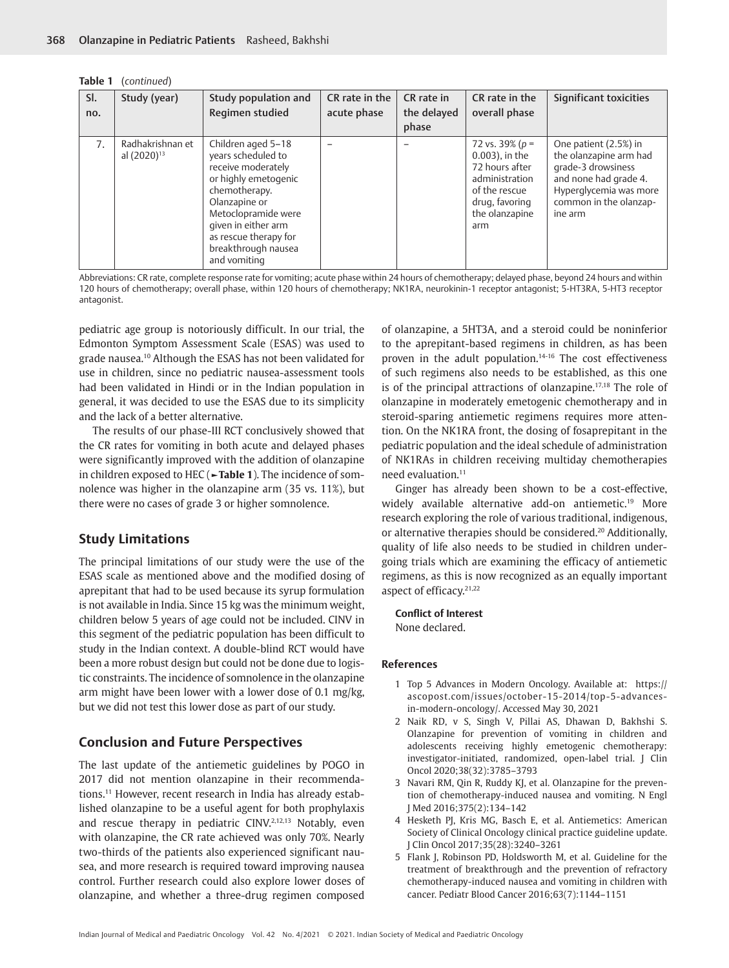| Table 1 | (continued) |
|---------|-------------|
|---------|-------------|

| SI.<br>no. | Study (year)                                | Study population and<br>Regimen studied                                                                                                                                                                                                | CR rate in the<br>acute phase | CR rate in<br>the delayed<br>phase | CR rate in the<br>overall phase                                                                                                         | Significant toxicities                                                                                                                                        |
|------------|---------------------------------------------|----------------------------------------------------------------------------------------------------------------------------------------------------------------------------------------------------------------------------------------|-------------------------------|------------------------------------|-----------------------------------------------------------------------------------------------------------------------------------------|---------------------------------------------------------------------------------------------------------------------------------------------------------------|
| 7.         | Radhakrishnan et<br>al (2020) <sup>13</sup> | Children aged 5-18<br>years scheduled to<br>receive moderately<br>or highly emetogenic<br>chemotherapy.<br>Olanzapine or<br>Metoclopramide were<br>given in either arm<br>as rescue therapy for<br>breakthrough nausea<br>and vomiting |                               |                                    | 72 vs. 39% ( $p =$<br>$0.003$ ), in the<br>72 hours after<br>administration<br>of the rescue<br>drug, favoring<br>the olanzapine<br>arm | One patient (2.5%) in<br>the olanzapine arm had<br>grade-3 drowsiness<br>and none had grade 4.<br>Hyperglycemia was more<br>common in the olanzap-<br>ine arm |

Abbreviations: CR rate, complete response rate for vomiting; acute phase within 24 hours of chemotherapy; delayed phase, beyond 24 hours and within 120 hours of chemotherapy; overall phase, within 120 hours of chemotherapy; NK1RA, neurokinin-1 receptor antagonist; 5-HT3RA, 5-HT3 receptor antagonist.

<span id="page-2-5"></span>pediatric age group is notoriously difficult. In our trial, the Edmonton Symptom Assessment Scale (ESAS) was used to grade nausea.[10](#page-3-5) Although the ESAS has not been validated for use in children, since no pediatric nausea-assessment tools had been validated in Hindi or in the Indian population in general, it was decided to use the ESAS due to its simplicity and the lack of a better alternative.

The results of our phase-III RCT conclusively showed that the CR rates for vomiting in both acute and delayed phases were significantly improved with the addition of olanzapine in children exposed to HEC (**[►Table 1](#page-1-0)**). The incidence of somnolence was higher in the olanzapine arm (35 vs. 11%), but there were no cases of grade 3 or higher somnolence.

## **Study Limitations**

The principal limitations of our study were the use of the ESAS scale as mentioned above and the modified dosing of aprepitant that had to be used because its syrup formulation is not available in India. Since 15 kg was the minimum weight, children below 5 years of age could not be included. CINV in this segment of the pediatric population has been difficult to study in the Indian context. A double-blind RCT would have been a more robust design but could not be done due to logistic constraints. The incidence of somnolence in the olanzapine arm might have been lower with a lower dose of 0.1 mg/kg, but we did not test this lower dose as part of our study.

## **Conclusion and Future Perspectives**

<span id="page-2-6"></span>The last update of the antiemetic guidelines by POGO in 2017 did not mention olanzapine in their recommendations.[11](#page-3-6) However, recent research in India has already established olanzapine to be a useful agent for both prophylaxis and rescue therapy in pediatric CINV.[2,](#page-2-1)[12,](#page-3-7)[13](#page-3-8) Notably, even with olanzapine, the CR rate achieved was only 70%. Nearly two-thirds of the patients also experienced significant nausea, and more research is required toward improving nausea control. Further research could also explore lower doses of olanzapine, and whether a three-drug regimen composed

<span id="page-2-12"></span><span id="page-2-11"></span><span id="page-2-10"></span><span id="page-2-9"></span>of olanzapine, a 5HT3A, and a steroid could be noninferior to the aprepitant-based regimens in children, as has been proven in the adult population.[14](#page-3-3)[-16](#page-3-9) The cost effectiveness of such regimens also needs to be established, as this one is of the principal attractions of olanzapine[.17](#page-3-10)[,18](#page-3-11) The role of olanzapine in moderately emetogenic chemotherapy and in steroid-sparing antiemetic regimens requires more attention. On the NK1RA front, the dosing of fosaprepitant in the pediatric population and the ideal schedule of administration of NK1RAs in children receiving multiday chemotherapies need evaluation.<sup>11</sup>

<span id="page-2-14"></span><span id="page-2-13"></span>Ginger has already been shown to be a cost-effective, widely available alternative add-on antiemetic.[19](#page-3-12) More research exploring the role of various traditional, indigenous, or alternative therapies should be considered.[20](#page-3-13) Additionally, quality of life also needs to be studied in children undergoing trials which are examining the efficacy of antiemetic regimens, as this is now recognized as an equally important aspect of efficacy.<sup>[21,](#page-3-14)[22](#page-3-15)</sup>

<span id="page-2-16"></span><span id="page-2-15"></span>**Conflict of Interest** None declared.

#### **References**

- <span id="page-2-0"></span>[1](#page-0-0) Top 5 Advances in Modern Oncology. Available at: https:// ascopost.com/issues/october-15-2014/top-5-advancesin-modern-oncology/. Accessed May 30, 2021
- <span id="page-2-1"></span>[2](#page-0-1) Naik RD, v S, Singh V, Pillai AS, Dhawan D, Bakhshi S. Olanzapine for prevention of vomiting in children and adolescents receiving highly emetogenic chemotherapy: investigator-initiated, randomized, open-label trial. J Clin Oncol 2020;38(32):3785–3793
- <span id="page-2-2"></span>[3](#page-0-2) Navari RM, Qin R, Ruddy KJ, et al. Olanzapine for the prevention of chemotherapy-induced nausea and vomiting. N Engl J Med 2016;375(2):134–142
- <span id="page-2-8"></span><span id="page-2-7"></span><span id="page-2-3"></span>[4](#page-0-3) Hesketh PJ, Kris MG, Basch E, et al. Antiemetics: American Society of Clinical Oncology clinical practice guideline update. J Clin Oncol 2017;35(28):3240–3261
- <span id="page-2-4"></span>[5](#page-0-4) Flank J, Robinson PD, Holdsworth M, et al. Guideline for the treatment of breakthrough and the prevention of refractory chemotherapy-induced nausea and vomiting in children with cancer. Pediatr Blood Cancer 2016;63(7):1144–1151